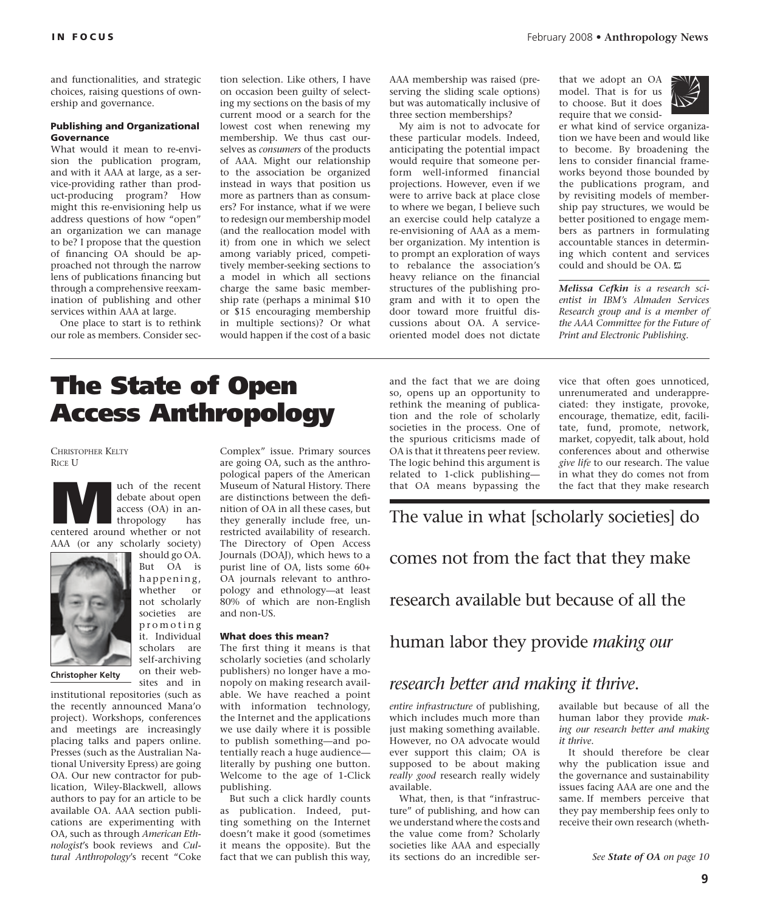and functionalities, and strategic choices, raising questions of ownership and governance.

#### Publishing and Organizational **Governance**

What would it mean to re-envision the publication program, and with it AAA at large, as a service-providing rather than product-producing program? How might this re-envisioning help us address questions of how "open" an organization we can manage to be? I propose that the question of financing OA should be approached not through the narrow lens of publications financing but through a comprehensive reexamination of publishing and other services within AAA at large.

One place to start is to rethink our role as members. Consider section selection. Like others, I have on occasion been guilty of selecting my sections on the basis of my current mood or a search for the lowest cost when renewing my membership. We thus cast ourselves as *consumers* of the products of AAA. Might our relationship to the association be organized instead in ways that position us more as partners than as consumers? For instance, what if we were to redesign our membership model (and the reallocation model with it) from one in which we select among variably priced, competitively member-seeking sections to a model in which all sections charge the same basic membership rate (perhaps a minimal \$10 or \$15 encouraging membership in multiple sections)? Or what would happen if the cost of a basic

AAA membership was raised (preserving the sliding scale options) but was automatically inclusive of three section memberships?

My aim is not to advocate for these particular models. Indeed, anticipating the potential impact would require that someone perform well-informed financial projections. However, even if we were to arrive back at place close to where we began, I believe such an exercise could help catalyze a re-envisioning of AAA as a member organization. My intention is to prompt an exploration of ways to rebalance the association's heavy reliance on the financial structures of the publishing program and with it to open the door toward more fruitful discussions about OA. A serviceoriented model does not dictate that we adopt an OA model. That is for us to choose. But it does require that we consid-



er what kind of service organization we have been and would like to become. By broadening the lens to consider financial frameworks beyond those bounded by the publications program, and by revisiting models of membership pay structures, we would be better positioned to engage members as partners in formulating accountable stances in determining which content and services could and should be OA.

*Melissa Cefkin is a research scientist in IBM's Almaden Services Research group and is a member of the AAA Committee for the Future of Print and Electronic Publishing.*

# The State of Open Access Anthropology

#### CHRISTOPHER KELTY RICE U



**Example 18 Separate CE Algebra (CA)** in an-<br>thropology has<br>centered around whether or not debate about open access (OA) in anthropology has

AAA (or any scholarly society)



should go OA. But OA is happening, whether or not scholarly societies are promoting it. Individual scholars are self-archiving on their websites and in

**Christopher Kelty**

institutional repositories (such as the recently announced Mana'o project). Workshops, conferences and meetings are increasingly placing talks and papers online. Presses (such as the Australian National University Epress) are going OA. Our new contractor for publication, Wiley-Blackwell, allows authors to pay for an article to be available OA. AAA section publications are experimenting with OA, such as through *American Ethnologist*'s book reviews and *Cultural Anthropology*'s recent "Coke Complex" issue. Primary sources are going OA, such as the anthropological papers of the American Museum of Natural History. There are distinctions between the definition of OA in all these cases, but they generally include free, unrestricted availability of research. The Directory of Open Access Journals (DOAJ), which hews to a purist line of OA, lists some 60+ OA journals relevant to anthropology and ethnology—at least 80% of which are non-English and non-US.

#### What does this mean?

The first thing it means is that scholarly societies (and scholarly publishers) no longer have a monopoly on making research available. We have reached a point with information technology, the Internet and the applications we use daily where it is possible to publish something—and potentially reach a huge audience literally by pushing one button. Welcome to the age of 1-Click publishing.

But such a click hardly counts as publication. Indeed, putting something on the Internet doesn't make it good (sometimes it means the opposite). But the fact that we can publish this way,

and the fact that we are doing so, opens up an opportunity to rethink the meaning of publication and the role of scholarly societies in the process. One of the spurious criticisms made of OA is that it threatens peer review. The logic behind this argument is related to 1-click publishing that OA means bypassing the

vice that often goes unnoticed, unrenumerated and underappreciated: they instigate, provoke, encourage, thematize, edit, facilitate, fund, promote, network, market, copyedit, talk about, hold conferences about and otherwise *give life* to our research. The value in what they do comes not from the fact that they make research

The value in what [scholarly societies] do

comes not from the fact that they make

research available but because of all the

human labor they provide *making our* 

### *research better and making it thrive*.

*entire infrastructure* of publishing, which includes much more than just making something available. However, no OA advocate would ever support this claim; OA is supposed to be about making *really good* research really widely available.

What, then, is that "infrastructure" of publishing, and how can we understand where the costs and the value come from? Scholarly societies like AAA and especially its sections do an incredible seravailable but because of all the human labor they provide *making our research better and making it thrive*.

It should therefore be clear why the publication issue and the governance and sustainability issues facing AAA are one and the same. If members perceive that they pay membership fees only to receive their own research (wheth-

*See State of OA on page 10*